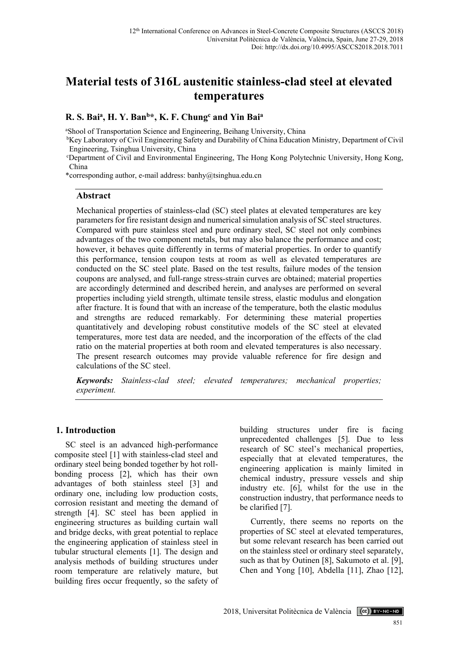# **Material tests of 316L austenitic stainless-clad steel at elevated temperatures**

## **R. S. Bai<sup>a</sup> , H. Y. Ban<sup>b</sup>\*, K. F. Chung<sup>c</sup> and Yin Bai<sup>a</sup>**

<sup>a</sup>Shool of Transportation Science and Engineering, Beihang University, China

<sup>b</sup>Key Laboratory of Civil Engineering Safety and Durability of China Education Ministry, Department of Civil Engineering, Tsinghua University, China

<sup>c</sup>Department of Civil and Environmental Engineering, The Hong Kong Polytechnic University, Hong Kong, China

\*corresponding author, e-mail address: banhy@tsinghua.edu.cn

#### **Abstract**

Mechanical properties of stainless-clad (SC) steel plates at elevated temperatures are key parameters for fire resistant design and numerical simulation analysis of SC steel structures. Compared with pure stainless steel and pure ordinary steel, SC steel not only combines advantages of the two component metals, but may also balance the performance and cost; however, it behaves quite differently in terms of material properties. In order to quantify this performance, tension coupon tests at room as well as elevated temperatures are conducted on the SC steel plate. Based on the test results, failure modes of the tension coupons are analysed, and full-range stress-strain curves are obtained; material properties are accordingly determined and described herein, and analyses are performed on several properties including yield strength, ultimate tensile stress, elastic modulus and elongation after fracture. It is found that with an increase of the temperature, both the elastic modulus and strengths are reduced remarkably. For determining these material properties quantitatively and developing robust constitutive models of the SC steel at elevated temperatures, more test data are needed, and the incorporation of the effects of the clad ratio on the material properties at both room and elevated temperatures is also necessary. The present research outcomes may provide valuable reference for fire design and calculations of the SC steel.

*Keywords: Stainless-clad steel; elevated temperatures; mechanical properties; experiment.*

#### **1. Introduction**

SC steel is an advanced high-performance composite steel [1] with stainless-clad steel and ordinary steel being bonded together by hot rollbonding process [2], which has their own advantages of both stainless steel [3] and ordinary one, including low production costs, corrosion resistant and meeting the demand of strength [4]. SC steel has been applied in engineering structures as building curtain wall and bridge decks, with great potential to replace the engineering application of stainless steel in tubular structural elements [1]. The design and analysis methods of building structures under room temperature are relatively mature, but building fires occur frequently, so the safety of building structures under fire is facing unprecedented challenges [5]. Due to less research of SC steel's mechanical properties, especially that at elevated temperatures, the engineering application is mainly limited in chemical industry, pressure vessels and ship industry etc. [6], whilst for the use in the construction industry, that performance needs to be clarified [7].

Currently, there seems no reports on the properties of SC steel at elevated temperatures, but some relevant research has been carried out on the stainless steel or ordinary steel separately, such as that by Outinen [8], Sakumoto et al. [9], Chen and Yong [10], Abdella [11], Zhao [12],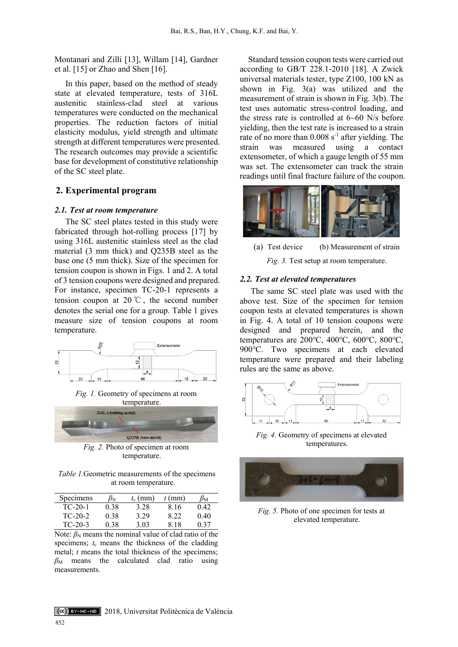Montanari and Zilli [13], Willam [14], Gardner et al. [15] or Zhao and Shen [16].

In this paper, based on the method of steady state at elevated temperature, tests of 316L austenitic stainless-clad steel at various temperatures were conducted on the mechanical properties. The reduction factors of initial elasticity modulus, yield strength and ultimate strength at different temperatures were presented. The research outcomes may provide a scientific base for development of constitutive relationship of the SC steel plate.

## **2. Experimental program**

#### *2.1. Test at room temperature*

The SC steel plates tested in this study were fabricated through hot-rolling process [17] by using 316L austenitic stainless steel as the clad material (3 mm thick) and Q235B steel as the base one (5 mm thick). Size of the specimen for tension coupon is shown in Figs. 1 and 2. A total of 3 tension coupons were designed and prepared. For instance, specimen TC-20-1 represents a tension coupon at  $20^{\circ}$ C, the second number denotes the serial one for a group. Table 1 gives measure size of tension coupons at room temperature.



*Fig. 1.* Geometry of specimens at room



*Fig. 2.* Photo of specimen at room temperature.

*Table 1.*Geometric measurements of the specimens at room temperature.

| Specimens | $\beta_{\rm N}$ | $t_{\rm c}$ (mm) | $t$ (mm) | bм   |
|-----------|-----------------|------------------|----------|------|
| $TC-20-1$ | 0.38            | 3.28             | 8.16     | 0.42 |
| $TC-20-2$ | 0.38            | 3.29             | 822      | 0.40 |
| $TC-20-3$ | 0.38            | 3.03             | 8.18     | 0.37 |

Note:  $\beta_N$  means the nominal value of clad ratio of the specimens;  $t_c$  means the thickness of the cladding metal; *t* means the total thickness of the specimens;  $\beta_M$  means the calculated clad ratio using measurements.

Standard tension coupon tests were carried out according to GB/T 228.1-2010 [18]. A Zwick universal materials tester, type Z100, 100 kN as shown in Fig. 3(a) was utilized and the measurement of strain is shown in Fig. 3(b). The test uses automatic stress-control loading, and the stress rate is controlled at 6~60 N/s before yielding, then the test rate is increased to a strain rate of no more than  $0.008$  s<sup>-1</sup> after yielding. The strain was measured using a contact extensometer, of which a gauge length of 55 mm was set. The extensometer can track the strain readings until final fracture failure of the coupon.



(a) Test device (b) Measurement of strain *Fig. 3.* Test setup at room temperature.

#### *2.2. Test at elevated temperatures*

The same SC steel plate was used with the above test. Size of the specimen for tension coupon tests at elevated temperatures is shown in Fig. 4. A total of 10 tension coupons were designed and prepared herein, and the temperatures are 200℃, 400℃, 600℃, 800℃, 900℃. Two specimens at each elevated temperature were prepared and their labeling rules are the same as above.



*Fig. 4.* Geometry of specimens at elevated temperatures.



*Fig. 5.* Photo of one specimen for tests at elevated temperature.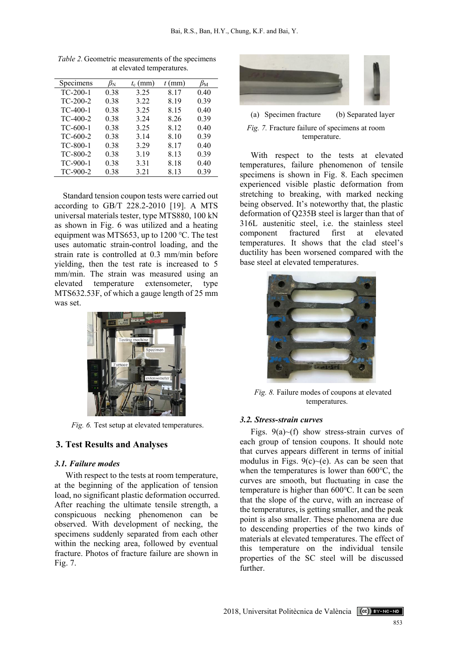| Specimens  | $\beta_{\rm N}$ | $t_c$ (mm) | $t$ (mm) | βм   |
|------------|-----------------|------------|----------|------|
| $TC-200-1$ | 0.38            | 3.25       | 8.17     | 0.40 |
| $TC-200-2$ | 0.38            | 3.22       | 8.19     | 0.39 |
| $TC-400-1$ | 0.38            | 3.25       | 8.15     | 0.40 |
| $TC-400-2$ | 0.38            | 3.24       | 8.26     | 0.39 |
| $TC-600-1$ | 0.38            | 3.25       | 8.12     | 0.40 |
| $TC-600-2$ | 0.38            | 3.14       | 8.10     | 0.39 |
| $TC-800-1$ | 0.38            | 3.29       | 8.17     | 0.40 |
| TC-800-2   | 0.38            | 3.19       | 8.13     | 0.39 |
| TC-900-1   | 0.38            | 3.31       | 8.18     | 0.40 |
| TC-900-2   | 0.38            | 3.21       | 8.13     | 0.39 |
|            |                 |            |          |      |

*Table 2.* Geometric measurements of the specimens at elevated temperatures.

Standard tension coupon tests were carried out according to GB/T 228.2-2010 [19]. A MTS universal materials tester, type MTS880, 100 kN as shown in Fig. 6 was utilized and a heating equipment was MTS653, up to 1200 ℃. The test uses automatic strain-control loading, and the strain rate is controlled at 0.3 mm/min before yielding, then the test rate is increased to 5 mm/min. The strain was measured using an elevated temperature extensometer, type MTS632.53F, of which a gauge length of 25 mm was set.



*Fig. 6.* Test setup at elevated temperatures.

## **3. Test Results and Analyses**

#### *3.1. Failure modes*

With respect to the tests at room temperature, at the beginning of the application of tension load, no significant plastic deformation occurred. After reaching the ultimate tensile strength, a conspicuous necking phenomenon can be observed. With development of necking, the specimens suddenly separated from each other within the necking area, followed by eventual fracture. Photos of fracture failure are shown in Fig. 7.



## (a) Specimen fracture (b) Separated layer *Fig. 7.* Fracture failure of specimens at room temperature.

With respect to the tests at elevated temperatures, failure phenomenon of tensile specimens is shown in Fig. 8. Each specimen experienced visible plastic deformation from stretching to breaking, with marked necking being observed. It's noteworthy that, the plastic deformation of Q235B steel is larger than that of 316L austenitic steel, i.e. the stainless steel component fractured first at elevated temperatures. It shows that the clad steel's ductility has been worsened compared with the base steel at elevated temperatures.



*Fig. 8.* Failure modes of coupons at elevated temperatures.

#### *3.2. Stress-strain curves*

Figs.  $9(a)$   $\sim$  (f) show stress-strain curves of each group of tension coupons. It should note that curves appears different in terms of initial modulus in Figs.  $9(c)$  (e). As can be seen that when the temperatures is lower than 600℃, the curves are smooth, but fluctuating in case the temperature is higher than 600℃. It can be seen that the slope of the curve, with an increase of the temperatures, is getting smaller, and the peak point is also smaller. These phenomena are due to descending properties of the two kinds of materials at elevated temperatures. The effect of this temperature on the individual tensile properties of the SC steel will be discussed further.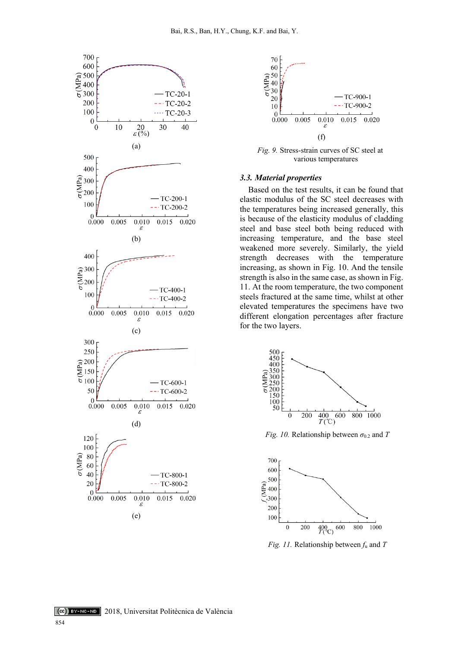



*Fig. 9.* Stress-strain curves of SC steel at various temperatures

#### *3.3. Material properties*

Based on the test results, it can be found that elastic modulus of the SC steel decreases with the temperatures being increased generally, this is because of the elasticity modulus of cladding steel and base steel both being reduced with increasing temperature, and the base steel weakened more severely. Similarly, the yield strength decreases with the temperature increasing, as shown in Fig. 10. And the tensile strength is also in the same case, as shown in Fig. 11. At the room temperature, the two component steels fractured at the same time, whilst at other elevated temperatures the specimens have two different elongation percentages after fracture for the two layers.



*Fig. 10.* Relationship between  $\sigma_{0.2}$  and *T* 



*Fig. 11.* Relationship between *f*<sup>u</sup> and *T*